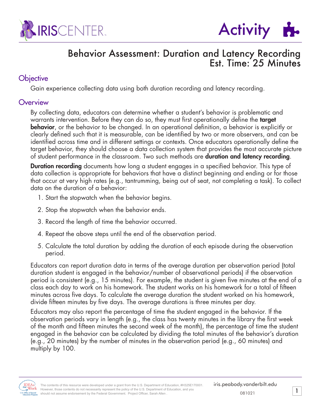



## Behavior Assessment: Duration and Latency Recording Est. Time: 25 Minutes

### **Objective**

Gain experience collecting data using both duration recording and latency recording.

#### **Overview**

By collecting data, educators can determine whether a student's behavior is problematic and warrants intervention. Before they can do so, they must first operationally define the **target** behavior, or the behavior to be changed. In an operational definition, a behavior is explicitly or clearly defined such that it is measurable, can be identified by two or more observers, and can be identified across time and in different settings or contexts. Once educators operationally define the target behavior, they should choose a data collection system that provides the most accurate picture of student performance in the classroom. Two such methods are **duration and latency recording**.

**Duration recording** documents how long a student engages in a specified behavior. This type of data collection is appropriate for behaviors that have a distinct beginning and ending or for those that occur at very high rates (e.g., tantrumming, being out of seat, not completing a task). To collect data on the duration of a behavior:

- 1. Start the stopwatch when the behavior begins.
- 2. Stop the stopwatch when the behavior ends.
- 3. Record the length of time the behavior occurred.
- 4. Repeat the above steps until the end of the observation period.
- 5. Calculate the total duration by adding the duration of each episode during the observation period.

Educators can report duration data in terms of the average duration per observation period (total duration student is engaged in the behavior/number of observational periods) if the observation period is consistent (e.g., 15 minutes). For example, the student is given five minutes at the end of a class each day to work on his homework. The student works on his homework for a total of fifteen minutes across five days. To calculate the average duration the student worked on his homework, divide fifteen minutes by five days. The average durations is three minutes per day.

Educators may also report the percentage of time the student engaged in the behavior. If the observation periods vary in length (e.g., the class has twenty minutes in the library the first week of the month and fifteen minutes the second week of the month), the percentage of time the student engaged in the behavior can be calculated by dividing the total minutes of the behavior's duration (e.g., 20 minutes) by the number of minutes in the observation period (e.g., 60 minutes) and multiply by 100.

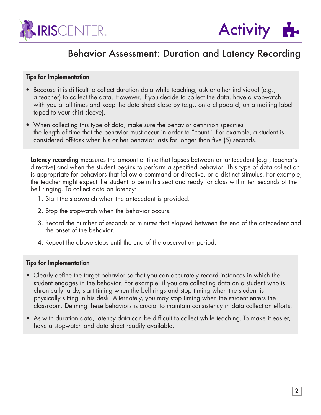



#### Tips for Implementation

- Because it is difficult to collect duration data while teaching, ask another individual (e.g., a teacher) to collect the data. However, if you decide to collect the data, have a stopwatch with you at all times and keep the data sheet close by (e.g., on a clipboard, on a mailing label taped to your shirt sleeve).
- When collecting this type of data, make sure the behavior definition specifies the length of time that the behavior must occur in order to "count." For example, a student is considered off-task when his or her behavior lasts for longer than five (5) seconds.

Latency recording measures the amount of time that lapses between an antecedent (e.g., teacher's directive) and when the student begins to perform a specified behavior. This type of data collection is appropriate for behaviors that follow a command or directive, or a distinct stimulus. For example, the teacher might expect the student to be in his seat and ready for class within ten seconds of the bell ringing. To collect data on latency:

- 1. Start the stopwatch when the antecedent is provided.
- 2. Stop the stopwatch when the behavior occurs.
- 3. Record the number of seconds or minutes that elapsed between the end of the antecedent and the onset of the behavior.
- 4. Repeat the above steps until the end of the observation period.

#### Tips for Implementation

- Clearly define the target behavior so that you can accurately record instances in which the student engages in the behavior. For example, if you are collecting data on a student who is chronically tardy, start timing when the bell rings and stop timing when the student is physically sitting in his desk. Alternately, you may stop timing when the student enters the classroom. Defining these behaviors is crucial to maintain consistency in data collection efforts.
- As with duration data, latency data can be difficult to collect while teaching. To make it easier, have a stopwatch and data sheet readily available.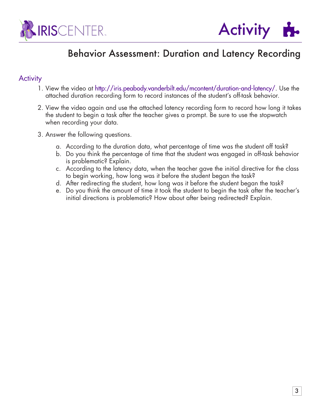



#### **Activity**

- 1. View the video at http://iris.peabody.vanderbilt.edu/mcontent/duration-and-latency/. Use the attached duration recording form to record instances of the student's off-task behavior.
- 2. View the video again and use the attached latency recording form to record how long it takes the student to begin a task after the teacher gives a prompt. Be sure to use the stopwatch when recording your data.
- 3. Answer the following questions.
	- a. According to the duration data, what percentage of time was the student off task?
	- b. Do you think the percentage of time that the student was engaged in off-task behavior is problematic? Explain.
	- c. According to the latency data, when the teacher gave the initial directive for the class to begin working, how long was it before the student began the task?
	- d. After redirecting the student, how long was it before the student began the task?
	- e. Do you think the amount of time it took the student to begin the task after the teacher's initial directions is problematic? How about after being redirected? Explain.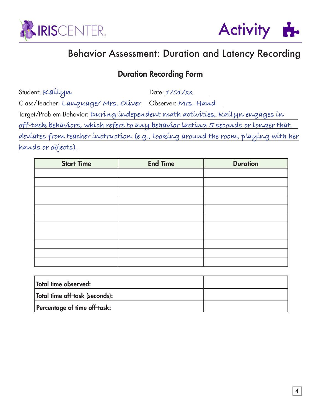



## Duration Recording Form

Student: Kailyn Date: 1/01/xx Class/Teacher: **Language/ Mrs. Oliver** Observer: **Mrs. Hand**  Target/Problem Behavior: **During independent math activities, Kailyn engages in off-task behaviors, which refers to any behavior lasting 5 seconds or longer that deviates from teacher instruction (e.g., looking around the room, playing with her hands or objects).**

| <b>Start Time</b> | <b>End Time</b> | <b>Duration</b> |
|-------------------|-----------------|-----------------|
|                   |                 |                 |
|                   |                 |                 |
|                   |                 |                 |
|                   |                 |                 |
|                   |                 |                 |
|                   |                 |                 |
|                   |                 |                 |
|                   |                 |                 |
|                   |                 |                 |
|                   |                 |                 |
|                   |                 |                 |

| $^{\textrm{\texttt{!}}}$ Total time observed: |  |
|-----------------------------------------------|--|
| Total time off-task (seconds):                |  |
| Percentage of time off-task:                  |  |